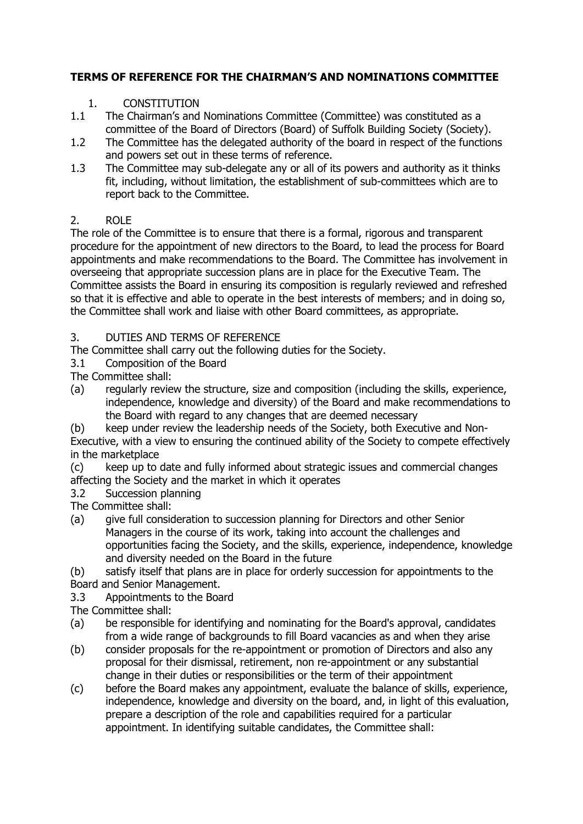# **TERMS OF REFERENCE FOR THE CHAIRMAN'S AND NOMINATIONS COMMITTEE**

- 1. CONSTITUTION<br>1.1 The Chairman's and The Chairman's and Nominations Committee (Committee) was constituted as a committee of the Board of Directors (Board) of Suffolk Building Society (Society).
- 1.2 The Committee has the delegated authority of the board in respect of the functions and powers set out in these terms of reference.
- 1.3 The Committee may sub-delegate any or all of its powers and authority as it thinks fit, including, without limitation, the establishment of sub-committees which are to report back to the Committee.

# 2. ROLE

The role of the Committee is to ensure that there is a formal, rigorous and transparent procedure for the appointment of new directors to the Board, to lead the process for Board appointments and make recommendations to the Board. The Committee has involvement in overseeing that appropriate succession plans are in place for the Executive Team. The Committee assists the Board in ensuring its composition is regularly reviewed and refreshed so that it is effective and able to operate in the best interests of members; and in doing so, the Committee shall work and liaise with other Board committees, as appropriate.

# 3. DUTIES AND TERMS OF REFERENCE

The Committee shall carry out the following duties for the Society.<br>3.1 Composition of the Board

3.1 Composition of the Board

The Committee shall:

(a) regularly review the structure, size and composition (including the skills, experience, independence, knowledge and diversity) of the Board and make recommendations to the Board with regard to any changes that are deemed necessary

(b) keep under review the leadership needs of the Society, both Executive and Non-

Executive, with a view to ensuring the continued ability of the Society to compete effectively in the marketplace

(c) keep up to date and fully informed about strategic issues and commercial changes affecting the Society and the market in which it operates

3.2 Succession planning

The Committee shall:

- (a) give full consideration to succession planning for Directors and other Senior Managers in the course of its work, taking into account the challenges and opportunities facing the Society, and the skills, experience, independence, knowledge and diversity needed on the Board in the future
- (b) satisfy itself that plans are in place for orderly succession for appointments to the Board and Senior Management.
- 3.3 Appointments to the Board
- The Committee shall:
- (a) be responsible for identifying and nominating for the Board's approval, candidates from a wide range of backgrounds to fill Board vacancies as and when they arise
- (b) consider proposals for the re-appointment or promotion of Directors and also any proposal for their dismissal, retirement, non re-appointment or any substantial change in their duties or responsibilities or the term of their appointment
- (c) before the Board makes any appointment, evaluate the balance of skills, experience, independence, knowledge and diversity on the board, and, in light of this evaluation, prepare a description of the role and capabilities required for a particular appointment. In identifying suitable candidates, the Committee shall: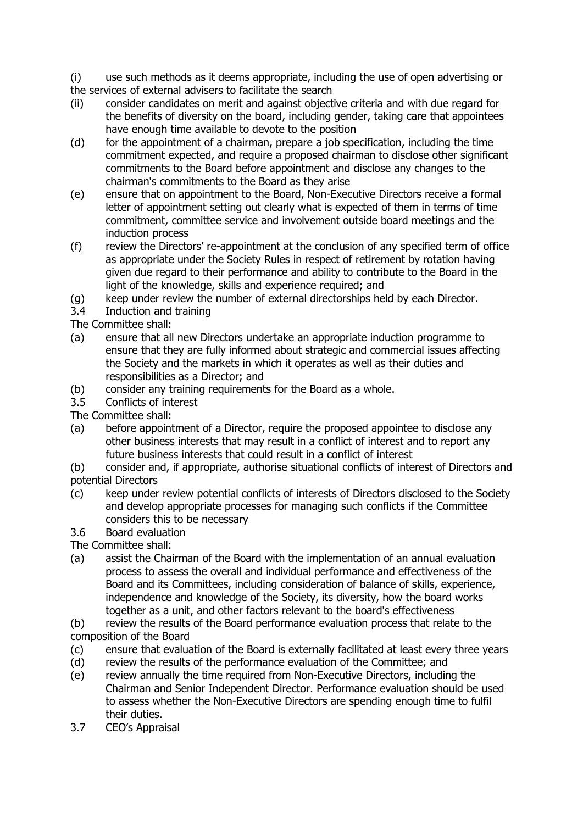(i) use such methods as it deems appropriate, including the use of open advertising or the services of external advisers to facilitate the search

- (ii) consider candidates on merit and against objective criteria and with due regard for the benefits of diversity on the board, including gender, taking care that appointees have enough time available to devote to the position
- (d) for the appointment of a chairman, prepare a job specification, including the time commitment expected, and require a proposed chairman to disclose other significant commitments to the Board before appointment and disclose any changes to the chairman's commitments to the Board as they arise
- (e) ensure that on appointment to the Board, Non-Executive Directors receive a formal letter of appointment setting out clearly what is expected of them in terms of time commitment, committee service and involvement outside board meetings and the induction process
- (f) review the Directors' re-appointment at the conclusion of any specified term of office as appropriate under the Society Rules in respect of retirement by rotation having given due regard to their performance and ability to contribute to the Board in the light of the knowledge, skills and experience required; and
- (g) keep under review the number of external directorships held by each Director.
- 3.4 Induction and training
- The Committee shall:
- (a) ensure that all new Directors undertake an appropriate induction programme to ensure that they are fully informed about strategic and commercial issues affecting the Society and the markets in which it operates as well as their duties and responsibilities as a Director; and
- (b) consider any training requirements for the Board as a whole.<br>3.5 Conflicts of interest
- Conflicts of interest

The Committee shall:

- (a) before appointment of a Director, require the proposed appointee to disclose any other business interests that may result in a conflict of interest and to report any future business interests that could result in a conflict of interest
- (b) consider and, if appropriate, authorise situational conflicts of interest of Directors and potential Directors
- (c) keep under review potential conflicts of interests of Directors disclosed to the Society and develop appropriate processes for managing such conflicts if the Committee considers this to be necessary
- 3.6 Board evaluation

The Committee shall:

(a) assist the Chairman of the Board with the implementation of an annual evaluation process to assess the overall and individual performance and effectiveness of the Board and its Committees, including consideration of balance of skills, experience, independence and knowledge of the Society, its diversity, how the board works together as a unit, and other factors relevant to the board's effectiveness

(b) review the results of the Board performance evaluation process that relate to the composition of the Board

- (c) ensure that evaluation of the Board is externally facilitated at least every three years
- (d) review the results of the performance evaluation of the Committee; and
- (e) review annually the time required from Non-Executive Directors, including the Chairman and Senior Independent Director. Performance evaluation should be used to assess whether the Non-Executive Directors are spending enough time to fulfil their duties.
- 3.7 CEO's Appraisal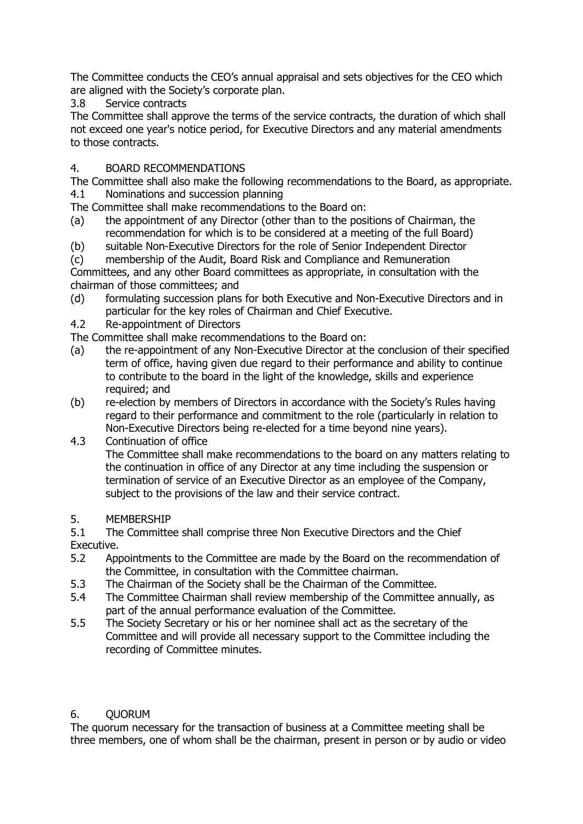The Committee conducts the CEO's annual appraisal and sets objectives for the CEO which are aligned with the Society's corporate plan.

3.8 Service contracts

The Committee shall approve the terms of the service contracts, the duration of which shall not exceed one year's notice period, for Executive Directors and any material amendments to those contracts.

# 4. BOARD RECOMMENDATIONS

The Committee shall also make the following recommendations to the Board, as appropriate. 4.1 Nominations and succession planning

The Committee shall make recommendations to the Board on:

- (a) the appointment of any Director (other than to the positions of Chairman, the recommendation for which is to be considered at a meeting of the full Board)
- (b) suitable Non-Executive Directors for the role of Senior Independent Director

(c) membership of the Audit, Board Risk and Compliance and Remuneration Committees, and any other Board committees as appropriate, in consultation with the chairman of those committees; and

- (d) formulating succession plans for both Executive and Non-Executive Directors and in particular for the key roles of Chairman and Chief Executive.
- 4.2 Re-appointment of Directors

The Committee shall make recommendations to the Board on:

- (a) the re-appointment of any Non-Executive Director at the conclusion of their specified term of office, having given due regard to their performance and ability to continue to contribute to the board in the light of the knowledge, skills and experience required; and
- (b) re-election by members of Directors in accordance with the Society's Rules having regard to their performance and commitment to the role (particularly in relation to Non-Executive Directors being re-elected for a time beyond nine years).

#### 4.3 Continuation of office

The Committee shall make recommendations to the board on any matters relating to the continuation in office of any Director at any time including the suspension or termination of service of an Executive Director as an employee of the Company, subject to the provisions of the law and their service contract.

5. MEMBERSHIP<br>5.1 The Committe

# The Committee shall comprise three Non Executive Directors and the Chief

Executive.

- 5.2 Appointments to the Committee are made by the Board on the recommendation of the Committee, in consultation with the Committee chairman.
- 5.3 The Chairman of the Society shall be the Chairman of the Committee.
- 5.4 The Committee Chairman shall review membership of the Committee annually, as part of the annual performance evaluation of the Committee.
- 5.5 The Society Secretary or his or her nominee shall act as the secretary of the Committee and will provide all necessary support to the Committee including the recording of Committee minutes.

# 6. QUORUM

The quorum necessary for the transaction of business at a Committee meeting shall be three members, one of whom shall be the chairman, present in person or by audio or video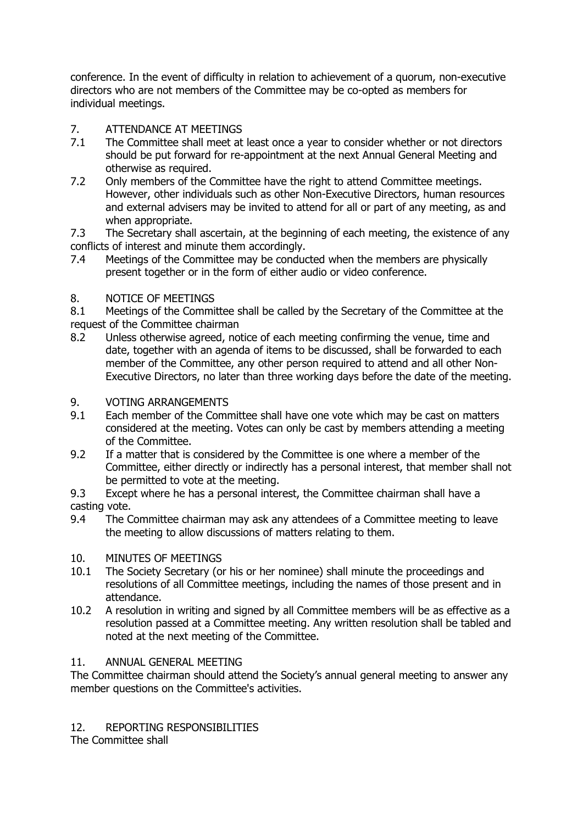conference. In the event of difficulty in relation to achievement of a quorum, non-executive directors who are not members of the Committee may be co-opted as members for individual meetings.

# 7. ATTENDANCE AT MEETINGS<br>7.1 The Committee shall meet at

- The Committee shall meet at least once a year to consider whether or not directors should be put forward for re-appointment at the next Annual General Meeting and otherwise as required.
- 7.2 Only members of the Committee have the right to attend Committee meetings. However, other individuals such as other Non-Executive Directors, human resources and external advisers may be invited to attend for all or part of any meeting, as and when appropriate.
- 7.3 The Secretary shall ascertain, at the beginning of each meeting, the existence of any conflicts of interest and minute them accordingly.
- 7.4 Meetings of the Committee may be conducted when the members are physically present together or in the form of either audio or video conference.

# 8. NOTICE OF MEETINGS

8.1 Meetings of the Committee shall be called by the Secretary of the Committee at the request of the Committee chairman

8.2 Unless otherwise agreed, notice of each meeting confirming the venue, time and date, together with an agenda of items to be discussed, shall be forwarded to each member of the Committee, any other person required to attend and all other Non-Executive Directors, no later than three working days before the date of the meeting.

# 9. VOTING ARRANGEMENTS

- 9.1 Each member of the Committee shall have one vote which may be cast on matters considered at the meeting. Votes can only be cast by members attending a meeting of the Committee.
- 9.2 If a matter that is considered by the Committee is one where a member of the Committee, either directly or indirectly has a personal interest, that member shall not be permitted to vote at the meeting.
- 9.3 Except where he has a personal interest, the Committee chairman shall have a casting vote.
- 9.4 The Committee chairman may ask any attendees of a Committee meeting to leave the meeting to allow discussions of matters relating to them.

# 10. MINUTES OF MEETINGS

- 10.1 The Society Secretary (or his or her nominee) shall minute the proceedings and resolutions of all Committee meetings, including the names of those present and in attendance.
- 10.2 A resolution in writing and signed by all Committee members will be as effective as a resolution passed at a Committee meeting. Any written resolution shall be tabled and noted at the next meeting of the Committee.

# 11. ANNUAL GENERAL MEETING

The Committee chairman should attend the Society's annual general meeting to answer any member questions on the Committee's activities.

# 12. REPORTING RESPONSIBILITIES

The Committee shall